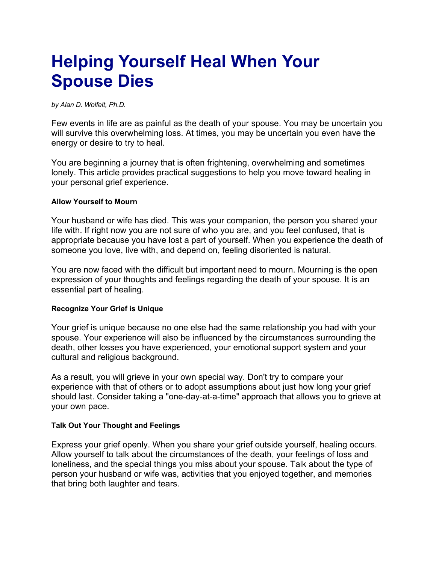# **Helping Yourself Heal When Your Spouse Dies**

*by Alan D. Wolfelt, Ph.D.*

Few events in life are as painful as the death of your spouse. You may be uncertain you will survive this overwhelming loss. At times, you may be uncertain you even have the energy or desire to try to heal.

You are beginning a journey that is often frightening, overwhelming and sometimes lonely. This article provides practical suggestions to help you move toward healing in your personal grief experience.

#### **Allow Yourself to Mourn**

Your husband or wife has died. This was your companion, the person you shared your life with. If right now you are not sure of who you are, and you feel confused, that is appropriate because you have lost a part of yourself. When you experience the death of someone you love, live with, and depend on, feeling disoriented is natural.

You are now faced with the difficult but important need to mourn. Mourning is the open expression of your thoughts and feelings regarding the death of your spouse. It is an essential part of healing.

# **Recognize Your Grief is Unique**

Your grief is unique because no one else had the same relationship you had with your spouse. Your experience will also be influenced by the circumstances surrounding the death, other losses you have experienced, your emotional support system and your cultural and religious background.

As a result, you will grieve in your own special way. Don't try to compare your experience with that of others or to adopt assumptions about just how long your grief should last. Consider taking a "one-day-at-a-time" approach that allows you to grieve at your own pace.

#### **Talk Out Your Thought and Feelings**

Express your grief openly. When you share your grief outside yourself, healing occurs. Allow yourself to talk about the circumstances of the death, your feelings of loss and loneliness, and the special things you miss about your spouse. Talk about the type of person your husband or wife was, activities that you enjoyed together, and memories that bring both laughter and tears.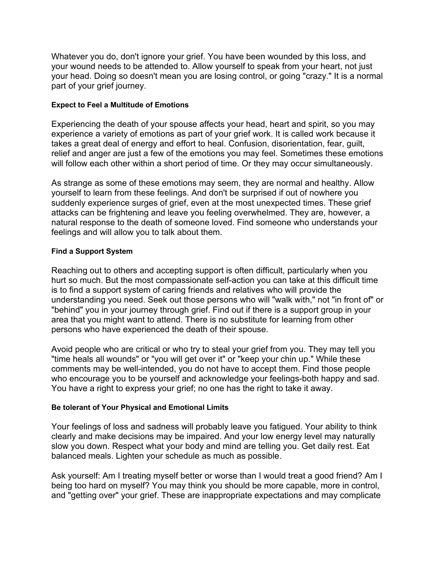Whatever you do, don't ignore your grief. You have been wounded by this loss, and your wound needs to be attended to. Allow yourself to speak from your heart, not just your head. Doing so doesn't mean you are losing control, or going "crazy." It is a normal part of your grief journey.

# **Expect to Feel a Multitude of Emotions**

Experiencing the death of your spouse affects your head, heart and spirit, so you may experience a variety of emotions as part of your grief work. It is called work because it takes a great deal of energy and effort to heal. Confusion, disorientation, fear, guilt, relief and anger are just a few of the emotions you may feel. Sometimes these emotions will follow each other within a short period of time. Or they may occur simultaneously.

As strange as some of these emotions may seem, they are normal and healthy. Allow yourself to learn from these feelings. And don't be surprised if out of nowhere you suddenly experience surges of grief, even at the most unexpected times. These grief attacks can be frightening and leave you feeling overwhelmed. They are, however, a natural response to the death of someone loved. Find someone who understands your feelings and will allow you to talk about them.

# **Find a Support System**

Reaching out to others and accepting support is often difficult, particularly when you hurt so much. But the most compassionate self-action you can take at this difficult time is to find a support system of caring friends and relatives who will provide the understanding you need. Seek out those persons who will "walk with," not "in front of" or "behind" you in your journey through grief. Find out if there is a support group in your area that you might want to attend. There is no substitute for learning from other persons who have experienced the death of their spouse.

Avoid people who are critical or who try to steal your grief from you. They may tell you "time heals all wounds" or "you will get over it" or "keep your chin up." While these comments may be well-intended, you do not have to accept them. Find those people who encourage you to be yourself and acknowledge your feelings-both happy and sad. You have a right to express your grief; no one has the right to take it away.

# **Be tolerant of Your Physical and Emotional Limits**

Your feelings of loss and sadness will probably leave you fatigued. Your ability to think clearly and make decisions may be impaired. And your low energy level may naturally slow you down. Respect what your body and mind are telling you. Get daily rest. Eat balanced meals. Lighten your schedule as much as possible.

Ask yourself: Am I treating myself better or worse than I would treat a good friend? Am I being too hard on myself? You may think you should be more capable, more in control, and "getting over" your grief. These are inappropriate expectations and may complicate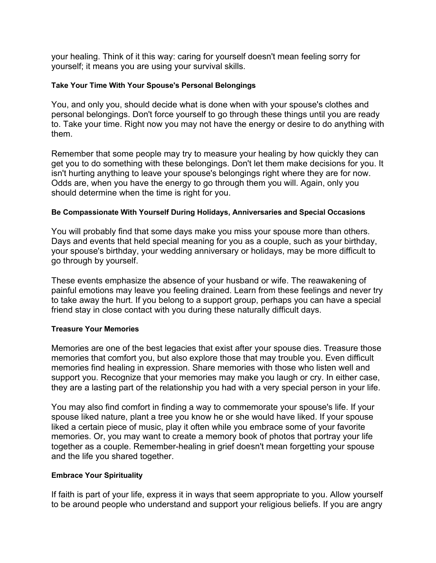your healing. Think of it this way: caring for yourself doesn't mean feeling sorry for yourself; it means you are using your survival skills.

#### **Take Your Time With Your Spouse's Personal Belongings**

You, and only you, should decide what is done when with your spouse's clothes and personal belongings. Don't force yourself to go through these things until you are ready to. Take your time. Right now you may not have the energy or desire to do anything with them.

Remember that some people may try to measure your healing by how quickly they can get you to do something with these belongings. Don't let them make decisions for you. It isn't hurting anything to leave your spouse's belongings right where they are for now. Odds are, when you have the energy to go through them you will. Again, only you should determine when the time is right for you.

#### **Be Compassionate With Yourself During Holidays, Anniversaries and Special Occasions**

You will probably find that some days make you miss your spouse more than others. Days and events that held special meaning for you as a couple, such as your birthday, your spouse's birthday, your wedding anniversary or holidays, may be more difficult to go through by yourself.

These events emphasize the absence of your husband or wife. The reawakening of painful emotions may leave you feeling drained. Learn from these feelings and never try to take away the hurt. If you belong to a support group, perhaps you can have a special friend stay in close contact with you during these naturally difficult days.

# **Treasure Your Memories**

Memories are one of the best legacies that exist after your spouse dies. Treasure those memories that comfort you, but also explore those that may trouble you. Even difficult memories find healing in expression. Share memories with those who listen well and support you. Recognize that your memories may make you laugh or cry. In either case, they are a lasting part of the relationship you had with a very special person in your life.

You may also find comfort in finding a way to commemorate your spouse's life. If your spouse liked nature, plant a tree you know he or she would have liked. If your spouse liked a certain piece of music, play it often while you embrace some of your favorite memories. Or, you may want to create a memory book of photos that portray your life together as a couple. Remember-healing in grief doesn't mean forgetting your spouse and the life you shared together.

# **Embrace Your Spirituality**

If faith is part of your life, express it in ways that seem appropriate to you. Allow yourself to be around people who understand and support your religious beliefs. If you are angry